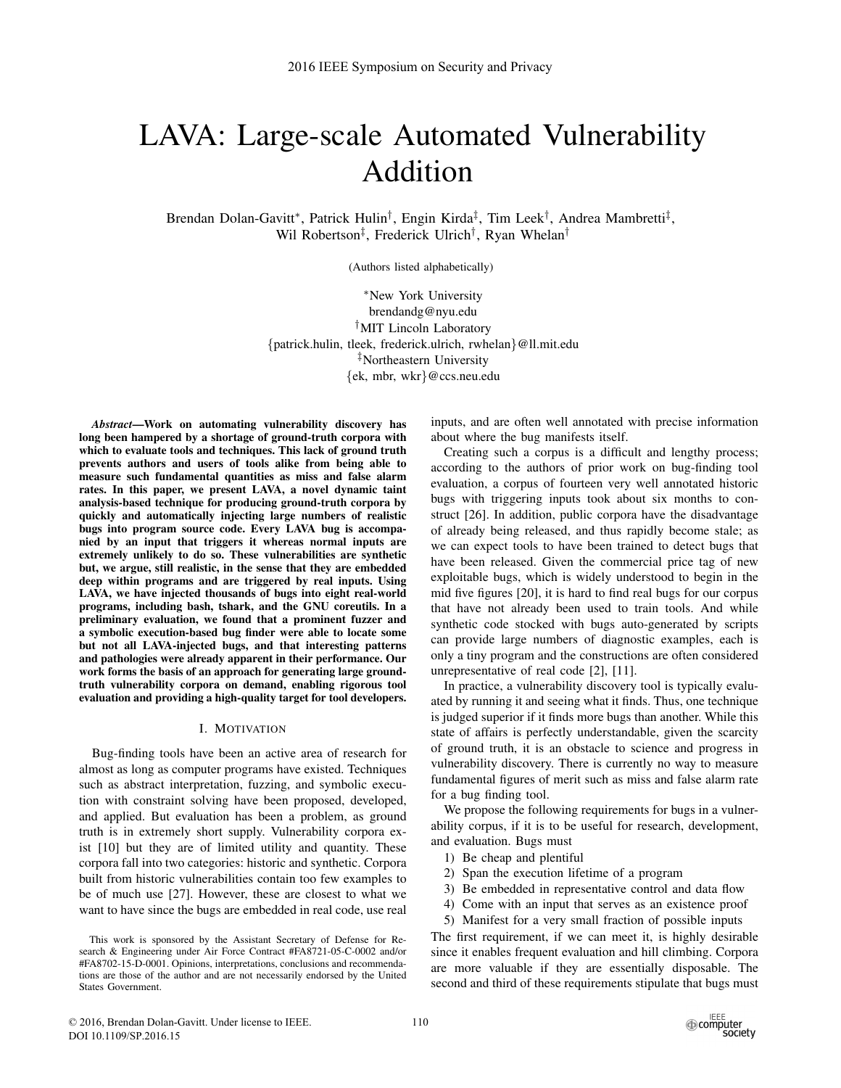# LAVA: Large-scale Automated Vulnerability Addition

Brendan Dolan-Gavitt∗, Patrick Hulin†, Engin Kirda‡, Tim Leek†, Andrea Mambretti‡, Wil Robertson<sup>‡</sup>, Frederick Ulrich<sup>†</sup>, Ryan Whelan<sup>†</sup>

(Authors listed alphabetically)

∗New York University brendandg@nyu.edu †MIT Lincoln Laboratory {patrick.hulin, tleek, frederick.ulrich, rwhelan}@ll.mit.edu ‡Northeastern University {ek, mbr, wkr}@ccs.neu.edu

*Abstract*—Work on automating vulnerability discovery has long been hampered by a shortage of ground-truth corpora with which to evaluate tools and techniques. This lack of ground truth prevents authors and users of tools alike from being able to measure such fundamental quantities as miss and false alarm rates. In this paper, we present LAVA, a novel dynamic taint analysis-based technique for producing ground-truth corpora by quickly and automatically injecting large numbers of realistic bugs into program source code. Every LAVA bug is accompanied by an input that triggers it whereas normal inputs are extremely unlikely to do so. These vulnerabilities are synthetic but, we argue, still realistic, in the sense that they are embedded deep within programs and are triggered by real inputs. Using LAVA, we have injected thousands of bugs into eight real-world programs, including bash, tshark, and the GNU coreutils. In a preliminary evaluation, we found that a prominent fuzzer and a symbolic execution-based bug finder were able to locate some but not all LAVA-injected bugs, and that interesting patterns and pathologies were already apparent in their performance. Our work forms the basis of an approach for generating large groundtruth vulnerability corpora on demand, enabling rigorous tool evaluation and providing a high-quality target for tool developers.

#### I. MOTIVATION

Bug-finding tools have been an active area of research for almost as long as computer programs have existed. Techniques such as abstract interpretation, fuzzing, and symbolic execution with constraint solving have been proposed, developed, and applied. But evaluation has been a problem, as ground truth is in extremely short supply. Vulnerability corpora exist [10] but they are of limited utility and quantity. These corpora fall into two categories: historic and synthetic. Corpora built from historic vulnerabilities contain too few examples to be of much use [27]. However, these are closest to what we want to have since the bugs are embedded in real code, use real inputs, and are often well annotated with precise information about where the bug manifests itself.

Creating such a corpus is a difficult and lengthy process; according to the authors of prior work on bug-finding tool evaluation, a corpus of fourteen very well annotated historic bugs with triggering inputs took about six months to construct [26]. In addition, public corpora have the disadvantage of already being released, and thus rapidly become stale; as we can expect tools to have been trained to detect bugs that have been released. Given the commercial price tag of new exploitable bugs, which is widely understood to begin in the mid five figures [20], it is hard to find real bugs for our corpus that have not already been used to train tools. And while synthetic code stocked with bugs auto-generated by scripts can provide large numbers of diagnostic examples, each is only a tiny program and the constructions are often considered unrepresentative of real code [2], [11].

In practice, a vulnerability discovery tool is typically evaluated by running it and seeing what it finds. Thus, one technique is judged superior if it finds more bugs than another. While this state of affairs is perfectly understandable, given the scarcity of ground truth, it is an obstacle to science and progress in vulnerability discovery. There is currently no way to measure fundamental figures of merit such as miss and false alarm rate for a bug finding tool.

We propose the following requirements for bugs in a vulnerability corpus, if it is to be useful for research, development, and evaluation. Bugs must

- 1) Be cheap and plentiful
- 2) Span the execution lifetime of a program
- 3) Be embedded in representative control and data flow
- 4) Come with an input that serves as an existence proof

5) Manifest for a very small fraction of possible inputs The first requirement, if we can meet it, is highly desirable since it enables frequent evaluation and hill climbing. Corpora are more valuable if they are essentially disposable. The second and third of these requirements stipulate that bugs must

This work is sponsored by the Assistant Secretary of Defense for Research & Engineering under Air Force Contract #FA8721-05-C-0002 and/or #FA8702-15-D-0001. Opinions, interpretations, conclusions and recommendations are those of the author and are not necessarily endorsed by the United States Government.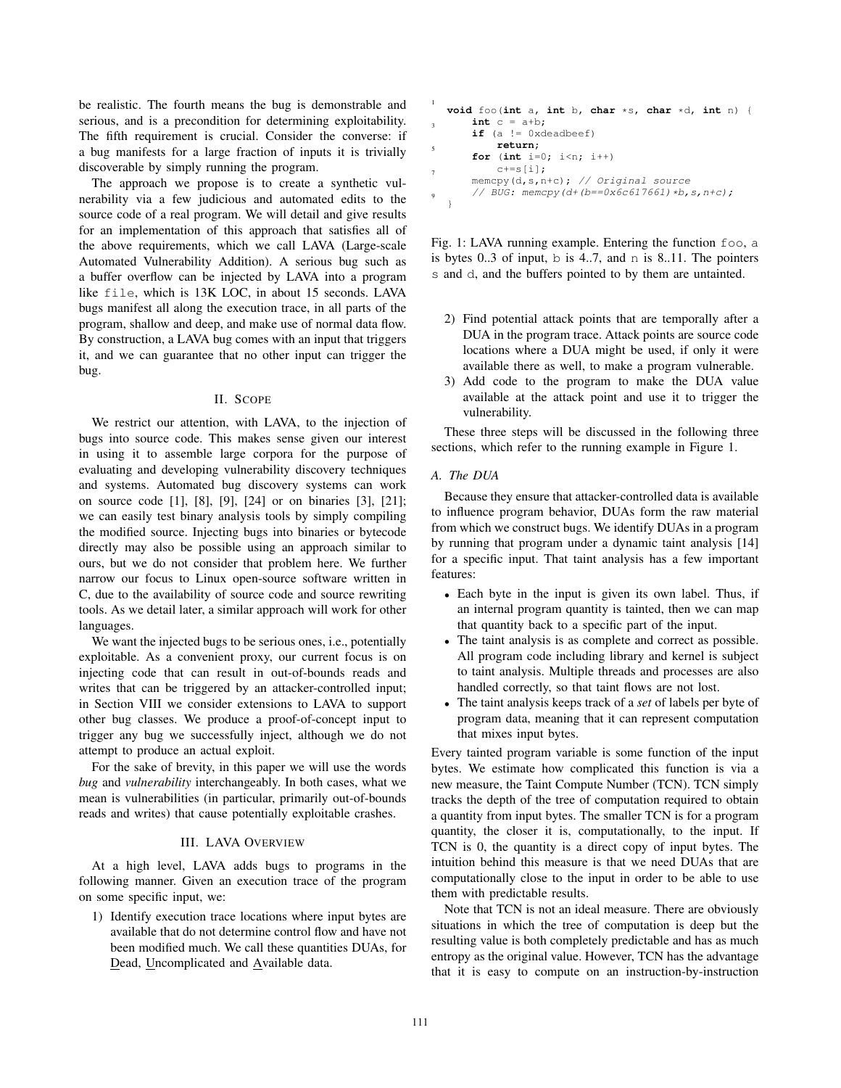be realistic. The fourth means the bug is demonstrable and serious, and is a precondition for determining exploitability. The fifth requirement is crucial. Consider the converse: if a bug manifests for a large fraction of inputs it is trivially discoverable by simply running the program.

The approach we propose is to create a synthetic vulnerability via a few judicious and automated edits to the source code of a real program. We will detail and give results for an implementation of this approach that satisfies all of the above requirements, which we call LAVA (Large-scale Automated Vulnerability Addition). A serious bug such as a buffer overflow can be injected by LAVA into a program like file, which is 13K LOC, in about 15 seconds. LAVA bugs manifest all along the execution trace, in all parts of the program, shallow and deep, and make use of normal data flow. By construction, a LAVA bug comes with an input that triggers it, and we can guarantee that no other input can trigger the bug.

## II. SCOPE

We restrict our attention, with LAVA, to the injection of bugs into source code. This makes sense given our interest in using it to assemble large corpora for the purpose of evaluating and developing vulnerability discovery techniques and systems. Automated bug discovery systems can work on source code [1], [8], [9], [24] or on binaries [3], [21]; we can easily test binary analysis tools by simply compiling the modified source. Injecting bugs into binaries or bytecode directly may also be possible using an approach similar to ours, but we do not consider that problem here. We further narrow our focus to Linux open-source software written in C, due to the availability of source code and source rewriting tools. As we detail later, a similar approach will work for other languages.

We want the injected bugs to be serious ones, *i.e.*, potentially exploitable. As a convenient proxy, our current focus is on injecting code that can result in out-of-bounds reads and writes that can be triggered by an attacker-controlled input; in Section VIII we consider extensions to LAVA to support other bug classes. We produce a proof-of-concept input to trigger any bug we successfully inject, although we do not attempt to produce an actual exploit.

For the sake of brevity, in this paper we will use the words *bug* and *vulnerability* interchangeably. In both cases, what we mean is vulnerabilities (in particular, primarily out-of-bounds reads and writes) that cause potentially exploitable crashes.

# III. LAVA OVERVIEW

At a high level, LAVA adds bugs to programs in the following manner. Given an execution trace of the program on some specific input, we:

1) Identify execution trace locations where input bytes are available that do not determine control flow and have not been modified much. We call these quantities DUAs, for Dead, Uncomplicated and Available data.

```
1
  void foo(int a, int b, char *s, char *d, int n) {
\int_3 int c = a+b;
      if (a != 0xdeadbeef)5 return;
      for (int i=0; i<n; i++)
          c+=s[i];memcpy(d,s,n+c); // Original source
9 // BUG: memcpy(d+(b==0x6c617661)*b,s,n+c);
  }
```
Fig. 1: LAVA running example. Entering the function foo, a is bytes 0..3 of input, b is 4..7, and n is 8..11. The pointers s and d, and the buffers pointed to by them are untainted.

- 2) Find potential attack points that are temporally after a DUA in the program trace. Attack points are source code locations where a DUA might be used, if only it were available there as well, to make a program vulnerable.
- 3) Add code to the program to make the DUA value available at the attack point and use it to trigger the vulnerability.

These three steps will be discussed in the following three sections, which refer to the running example in Figure 1.

#### *A. The DUA*

Because they ensure that attacker-controlled data is available to influence program behavior, DUAs form the raw material from which we construct bugs. We identify DUAs in a program by running that program under a dynamic taint analysis [14] for a specific input. That taint analysis has a few important features:

- Each byte in the input is given its own label. Thus, if an internal program quantity is tainted, then we can map that quantity back to a specific part of the input.
- The taint analysis is as complete and correct as possible. All program code including library and kernel is subject to taint analysis. Multiple threads and processes are also handled correctly, so that taint flows are not lost.
- The taint analysis keeps track of a *set* of labels per byte of program data, meaning that it can represent computation that mixes input bytes.

Every tainted program variable is some function of the input bytes. We estimate how complicated this function is via a new measure, the Taint Compute Number (TCN). TCN simply tracks the depth of the tree of computation required to obtain a quantity from input bytes. The smaller TCN is for a program quantity, the closer it is, computationally, to the input. If TCN is 0, the quantity is a direct copy of input bytes. The intuition behind this measure is that we need DUAs that are computationally close to the input in order to be able to use them with predictable results.

Note that TCN is not an ideal measure. There are obviously situations in which the tree of computation is deep but the resulting value is both completely predictable and has as much entropy as the original value. However, TCN has the advantage that it is easy to compute on an instruction-by-instruction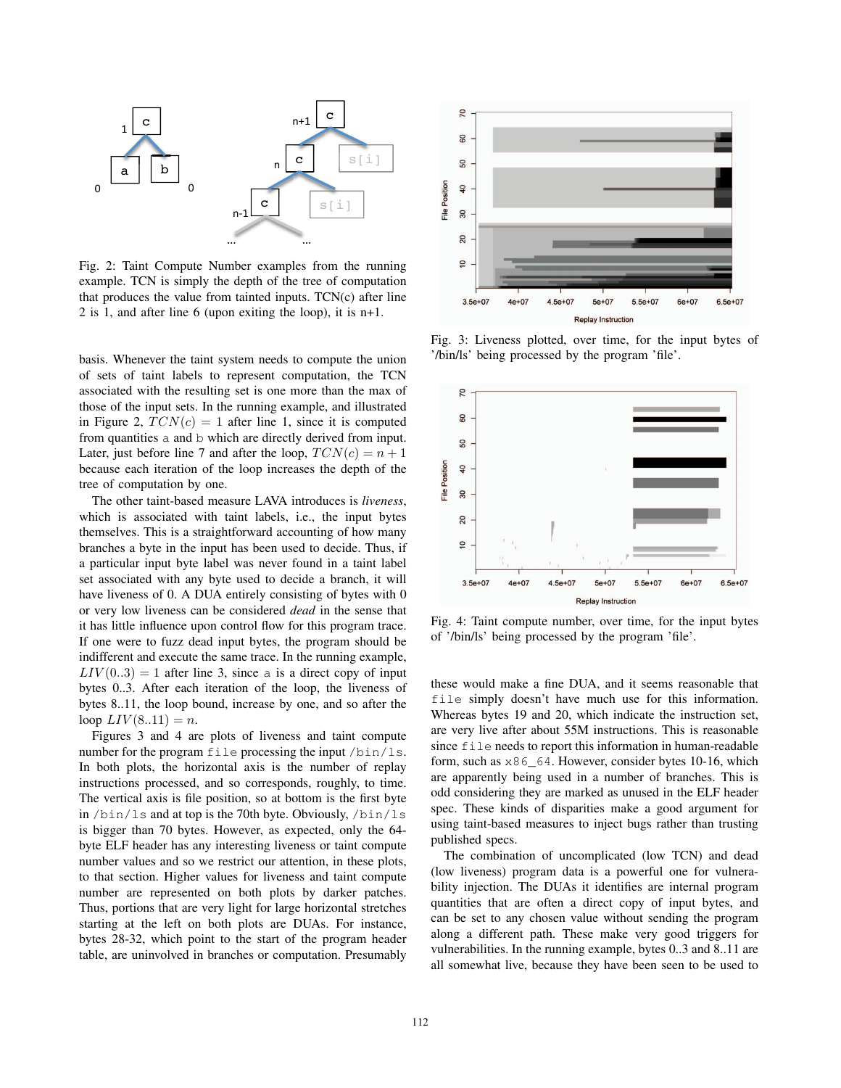

Fig. 2: Taint Compute Number examples from the running example. TCN is simply the depth of the tree of computation that produces the value from tainted inputs. TCN(c) after line 2 is 1, and after line 6 (upon exiting the loop), it is n+1.

basis. Whenever the taint system needs to compute the union of sets of taint labels to represent computation, the TCN associated with the resulting set is one more than the max of those of the input sets. In the running example, and illustrated in Figure 2,  $TCN(c) = 1$  after line 1, since it is computed from quantities a and b which are directly derived from input. Later, just before line 7 and after the loop,  $TCN(c) = n + 1$ because each iteration of the loop increases the depth of the tree of computation by one.

The other taint-based measure LAVA introduces is *liveness*, which is associated with taint labels, i.e., the input bytes themselves. This is a straightforward accounting of how many branches a byte in the input has been used to decide. Thus, if a particular input byte label was never found in a taint label set associated with any byte used to decide a branch, it will have liveness of 0. A DUA entirely consisting of bytes with 0 or very low liveness can be considered *dead* in the sense that it has little influence upon control flow for this program trace. If one were to fuzz dead input bytes, the program should be indifferent and execute the same trace. In the running example,  $LIV(0..3) = 1$  after line 3, since a is a direct copy of input bytes 0..3. After each iteration of the loop, the liveness of bytes 8..11, the loop bound, increase by one, and so after the loop  $LIV(8..11) = n$ .

Figures 3 and 4 are plots of liveness and taint compute number for the program file processing the input /bin/ls. In both plots, the horizontal axis is the number of replay instructions processed, and so corresponds, roughly, to time. The vertical axis is file position, so at bottom is the first byte in /bin/ls and at top is the 70th byte. Obviously, /bin/ls is bigger than 70 bytes. However, as expected, only the 64 byte ELF header has any interesting liveness or taint compute number values and so we restrict our attention, in these plots, to that section. Higher values for liveness and taint compute number are represented on both plots by darker patches. Thus, portions that are very light for large horizontal stretches starting at the left on both plots are DUAs. For instance, bytes 28-32, which point to the start of the program header table, are uninvolved in branches or computation. Presumably



Fig. 3: Liveness plotted, over time, for the input bytes of '/bin/ls' being processed by the program 'file'.



Fig. 4: Taint compute number, over time, for the input bytes of '/bin/ls' being processed by the program 'file'.

these would make a fine DUA, and it seems reasonable that file simply doesn't have much use for this information. Whereas bytes 19 and 20, which indicate the instruction set, are very live after about 55M instructions. This is reasonable since file needs to report this information in human-readable form, such as  $x86$  64. However, consider bytes 10-16, which are apparently being used in a number of branches. This is odd considering they are marked as unused in the ELF header spec. These kinds of disparities make a good argument for using taint-based measures to inject bugs rather than trusting published specs.

The combination of uncomplicated (low TCN) and dead (low liveness) program data is a powerful one for vulnerability injection. The DUAs it identifies are internal program quantities that are often a direct copy of input bytes, and can be set to any chosen value without sending the program along a different path. These make very good triggers for vulnerabilities. In the running example, bytes 0..3 and 8..11 are all somewhat live, because they have been seen to be used to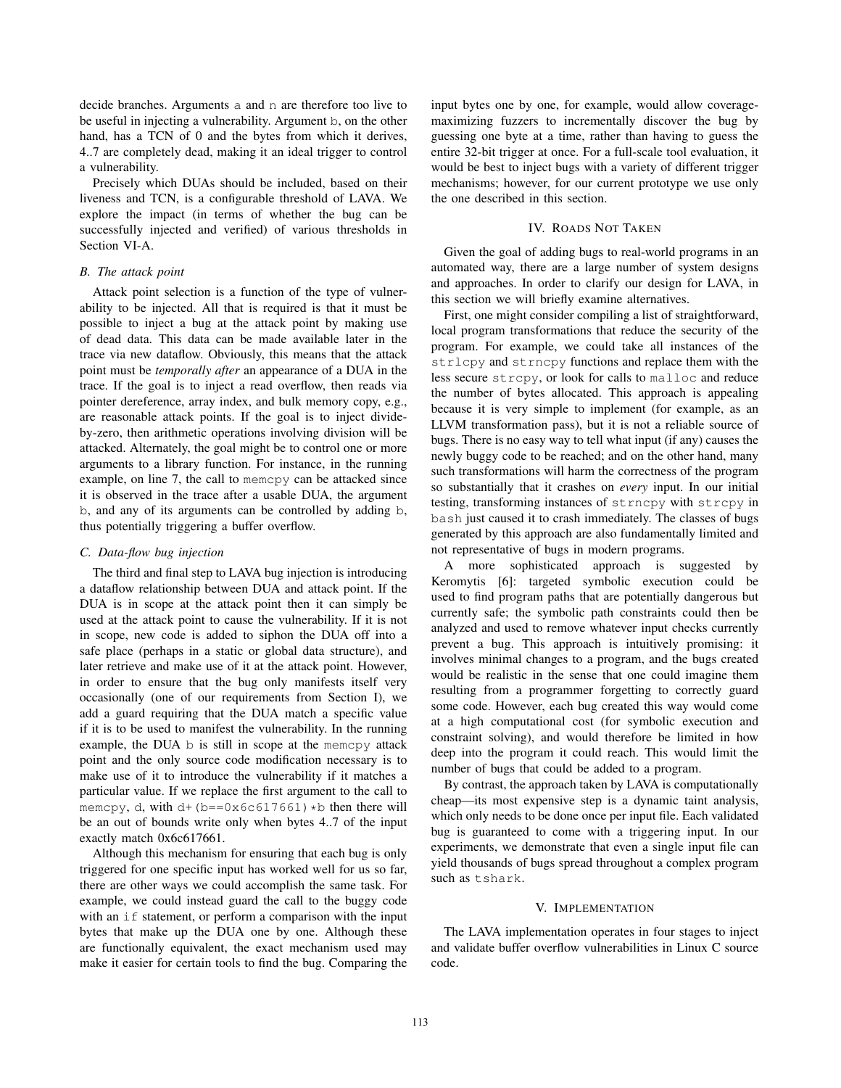decide branches. Arguments a and n are therefore too live to be useful in injecting a vulnerability. Argument b, on the other hand, has a TCN of 0 and the bytes from which it derives, 4..7 are completely dead, making it an ideal trigger to control a vulnerability.

Precisely which DUAs should be included, based on their liveness and TCN, is a configurable threshold of LAVA. We explore the impact (in terms of whether the bug can be successfully injected and verified) of various thresholds in Section VI-A.

# *B. The attack point*

Attack point selection is a function of the type of vulnerability to be injected. All that is required is that it must be possible to inject a bug at the attack point by making use of dead data. This data can be made available later in the trace via new dataflow. Obviously, this means that the attack point must be *temporally after* an appearance of a DUA in the trace. If the goal is to inject a read overflow, then reads via pointer dereference, array index, and bulk memory copy, e.g., are reasonable attack points. If the goal is to inject divideby-zero, then arithmetic operations involving division will be attacked. Alternately, the goal might be to control one or more arguments to a library function. For instance, in the running example, on line 7, the call to memcpy can be attacked since it is observed in the trace after a usable DUA, the argument b, and any of its arguments can be controlled by adding b, thus potentially triggering a buffer overflow.

## *C. Data-flow bug injection*

The third and final step to LAVA bug injection is introducing a dataflow relationship between DUA and attack point. If the DUA is in scope at the attack point then it can simply be used at the attack point to cause the vulnerability. If it is not in scope, new code is added to siphon the DUA off into a safe place (perhaps in a static or global data structure), and later retrieve and make use of it at the attack point. However, in order to ensure that the bug only manifests itself very occasionally (one of our requirements from Section I), we add a guard requiring that the DUA match a specific value if it is to be used to manifest the vulnerability. In the running example, the DUA b is still in scope at the memcpy attack point and the only source code modification necessary is to make use of it to introduce the vulnerability if it matches a particular value. If we replace the first argument to the call to memcpy, d, with  $d + (b == 0 \times 6c617661) * b$  then there will be an out of bounds write only when bytes 4..7 of the input exactly match 0x6c617661.

Although this mechanism for ensuring that each bug is only triggered for one specific input has worked well for us so far, there are other ways we could accomplish the same task. For example, we could instead guard the call to the buggy code with an  $if$  statement, or perform a comparison with the input bytes that make up the DUA one by one. Although these are functionally equivalent, the exact mechanism used may make it easier for certain tools to find the bug. Comparing the input bytes one by one, for example, would allow coveragemaximizing fuzzers to incrementally discover the bug by guessing one byte at a time, rather than having to guess the entire 32-bit trigger at once. For a full-scale tool evaluation, it would be best to inject bugs with a variety of different trigger mechanisms; however, for our current prototype we use only the one described in this section.

# IV. ROADS NOT TAKEN

Given the goal of adding bugs to real-world programs in an automated way, there are a large number of system designs and approaches. In order to clarify our design for LAVA, in this section we will briefly examine alternatives.

First, one might consider compiling a list of straightforward, local program transformations that reduce the security of the program. For example, we could take all instances of the strlcpy and strncpy functions and replace them with the less secure strcpy, or look for calls to malloc and reduce the number of bytes allocated. This approach is appealing because it is very simple to implement (for example, as an LLVM transformation pass), but it is not a reliable source of bugs. There is no easy way to tell what input (if any) causes the newly buggy code to be reached; and on the other hand, many such transformations will harm the correctness of the program so substantially that it crashes on *every* input. In our initial testing, transforming instances of strncpy with strcpy in bash just caused it to crash immediately. The classes of bugs generated by this approach are also fundamentally limited and not representative of bugs in modern programs.

A more sophisticated approach is suggested by Keromytis [6]: targeted symbolic execution could be used to find program paths that are potentially dangerous but currently safe; the symbolic path constraints could then be analyzed and used to remove whatever input checks currently prevent a bug. This approach is intuitively promising: it involves minimal changes to a program, and the bugs created would be realistic in the sense that one could imagine them resulting from a programmer forgetting to correctly guard some code. However, each bug created this way would come at a high computational cost (for symbolic execution and constraint solving), and would therefore be limited in how deep into the program it could reach. This would limit the number of bugs that could be added to a program.

By contrast, the approach taken by LAVA is computationally cheap—its most expensive step is a dynamic taint analysis, which only needs to be done once per input file. Each validated bug is guaranteed to come with a triggering input. In our experiments, we demonstrate that even a single input file can yield thousands of bugs spread throughout a complex program such as tshark.

# V. IMPLEMENTATION

The LAVA implementation operates in four stages to inject and validate buffer overflow vulnerabilities in Linux C source code.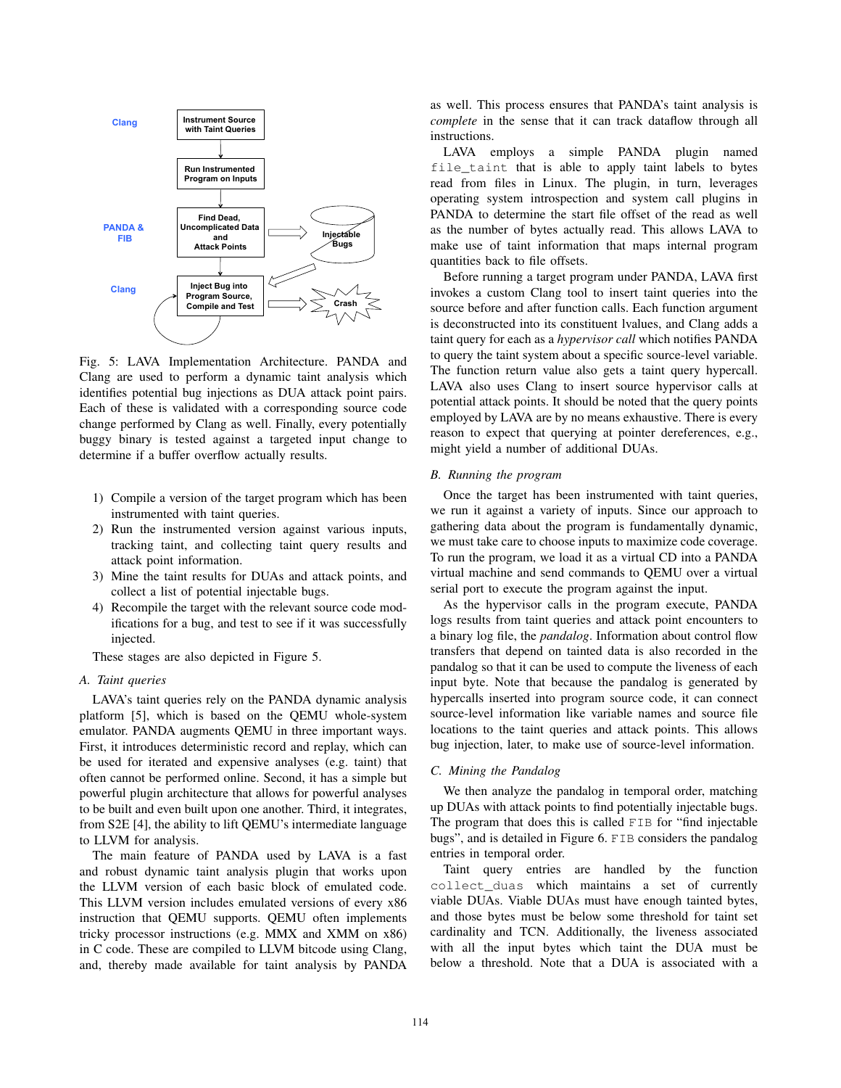

Fig. 5: LAVA Implementation Architecture. PANDA and Clang are used to perform a dynamic taint analysis which identifies potential bug injections as DUA attack point pairs. Each of these is validated with a corresponding source code change performed by Clang as well. Finally, every potentially buggy binary is tested against a targeted input change to determine if a buffer overflow actually results.

- 1) Compile a version of the target program which has been instrumented with taint queries.
- 2) Run the instrumented version against various inputs, tracking taint, and collecting taint query results and attack point information.
- 3) Mine the taint results for DUAs and attack points, and collect a list of potential injectable bugs.
- 4) Recompile the target with the relevant source code modifications for a bug, and test to see if it was successfully injected.

These stages are also depicted in Figure 5.

# *A. Taint queries*

LAVA's taint queries rely on the PANDA dynamic analysis platform [5], which is based on the QEMU whole-system emulator. PANDA augments QEMU in three important ways. First, it introduces deterministic record and replay, which can be used for iterated and expensive analyses (e.g. taint) that often cannot be performed online. Second, it has a simple but powerful plugin architecture that allows for powerful analyses to be built and even built upon one another. Third, it integrates, from S2E [4], the ability to lift QEMU's intermediate language to LLVM for analysis.

The main feature of PANDA used by LAVA is a fast and robust dynamic taint analysis plugin that works upon the LLVM version of each basic block of emulated code. This LLVM version includes emulated versions of every x86 instruction that QEMU supports. QEMU often implements tricky processor instructions (e.g. MMX and XMM on x86) in C code. These are compiled to LLVM bitcode using Clang, and, thereby made available for taint analysis by PANDA as well. This process ensures that PANDA's taint analysis is *complete* in the sense that it can track dataflow through all instructions.

LAVA employs a simple PANDA plugin named file\_taint that is able to apply taint labels to bytes read from files in Linux. The plugin, in turn, leverages operating system introspection and system call plugins in PANDA to determine the start file offset of the read as well as the number of bytes actually read. This allows LAVA to make use of taint information that maps internal program quantities back to file offsets.

Before running a target program under PANDA, LAVA first invokes a custom Clang tool to insert taint queries into the source before and after function calls. Each function argument is deconstructed into its constituent lvalues, and Clang adds a taint query for each as a *hypervisor call* which notifies PANDA to query the taint system about a specific source-level variable. The function return value also gets a taint query hypercall. LAVA also uses Clang to insert source hypervisor calls at potential attack points. It should be noted that the query points employed by LAVA are by no means exhaustive. There is every reason to expect that querying at pointer dereferences, e.g., might yield a number of additional DUAs.

# *B. Running the program*

Once the target has been instrumented with taint queries, we run it against a variety of inputs. Since our approach to gathering data about the program is fundamentally dynamic, we must take care to choose inputs to maximize code coverage. To run the program, we load it as a virtual CD into a PANDA virtual machine and send commands to QEMU over a virtual serial port to execute the program against the input.

As the hypervisor calls in the program execute, PANDA logs results from taint queries and attack point encounters to a binary log file, the *pandalog*. Information about control flow transfers that depend on tainted data is also recorded in the pandalog so that it can be used to compute the liveness of each input byte. Note that because the pandalog is generated by hypercalls inserted into program source code, it can connect source-level information like variable names and source file locations to the taint queries and attack points. This allows bug injection, later, to make use of source-level information.

#### *C. Mining the Pandalog*

We then analyze the pandalog in temporal order, matching up DUAs with attack points to find potentially injectable bugs. The program that does this is called FIB for "find injectable bugs", and is detailed in Figure 6. FIB considers the pandalog entries in temporal order.

Taint query entries are handled by the function collect\_duas which maintains a set of currently viable DUAs. Viable DUAs must have enough tainted bytes, and those bytes must be below some threshold for taint set cardinality and TCN. Additionally, the liveness associated with all the input bytes which taint the DUA must be below a threshold. Note that a DUA is associated with a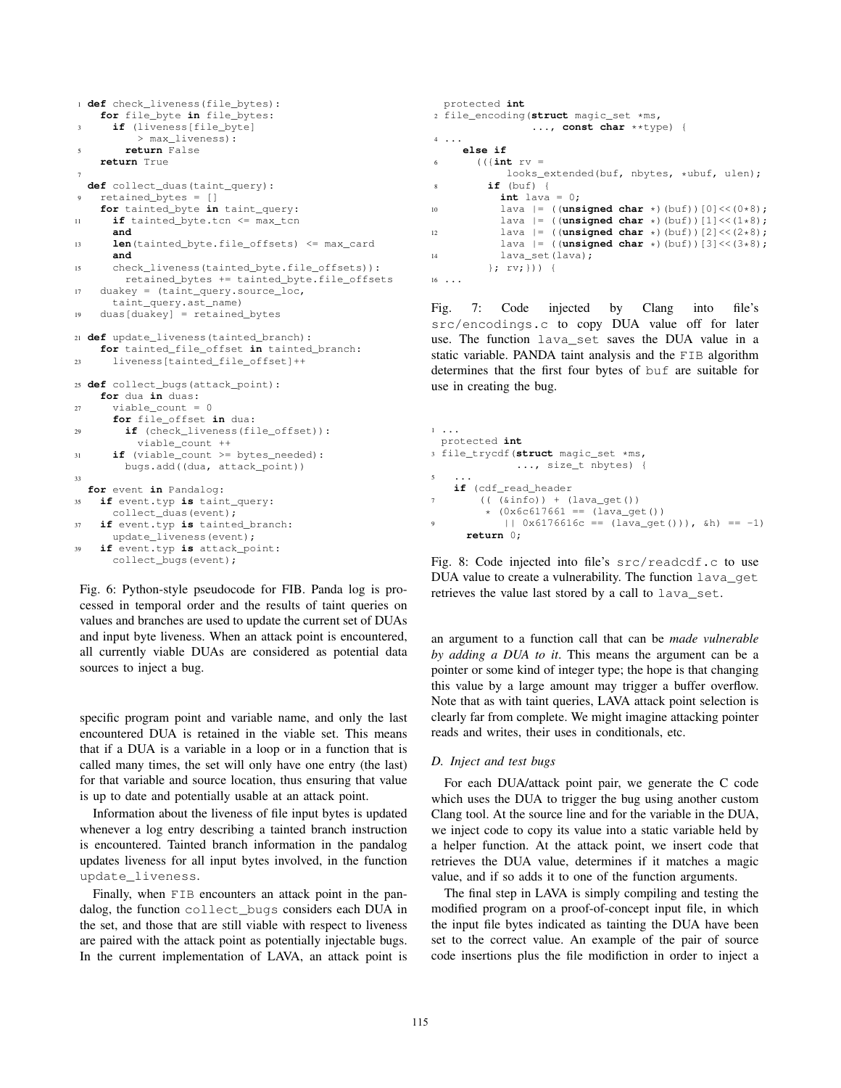```
1 def check_liveness(file_bytes):
    for file_byte in file_bytes:
      if (liveness[file_byte]
          > max_liveness):
        5 return False
    return True
7
  def collect_duas(taint_query):
9 retained_bytes = []
    for tainted_byte in taint_query:
11 if tainted_byte.tcn <= max_tcn
      and
13 len(tainted byte.file offsets) \leq max card
      and
15 check_liveness(tainted_byte.file_offsets)):
        retained_bytes += tainted_byte.file_offsets
17 duakey = (taint query.source loc,
      taint_query.ast_name)
19 duas[duakey] = retained_bytes
21 def update_liveness(tainted_branch):
    for tainted_file_offset in tainted_branch:
23 liveness[tainted_file_offset]++
25 def collect_bugs(attack_point):
    for dua in duas:
27 viable_count = 0
      for file_offset in dua:
29 if (check_liveness(file_offset)):
          viable_count ++
\overline{\textbf{if}} (viable count \geq bytes needed):
        bugs.add((dua, attack_point))
33
  for event in Pandalog:
35 if event.typ is taint_query:
      collect_duas(event);
37 if event.typ is tainted_branch:
      update_liveness(event);
39 if event.typ is attack_point:
      collect_bugs(event);
```
Fig. 6: Python-style pseudocode for FIB. Panda log is processed in temporal order and the results of taint queries on values and branches are used to update the current set of DUAs and input byte liveness. When an attack point is encountered, all currently viable DUAs are considered as potential data sources to inject a bug.

specific program point and variable name, and only the last encountered DUA is retained in the viable set. This means that if a DUA is a variable in a loop or in a function that is called many times, the set will only have one entry (the last) for that variable and source location, thus ensuring that value is up to date and potentially usable at an attack point.

Information about the liveness of file input bytes is updated whenever a log entry describing a tainted branch instruction is encountered. Tainted branch information in the pandalog updates liveness for all input bytes involved, in the function update\_liveness.

Finally, when FIB encounters an attack point in the pandalog, the function collect\_bugs considers each DUA in the set, and those that are still viable with respect to liveness are paired with the attack point as potentially injectable bugs. In the current implementation of LAVA, an attack point is

```
protected int
2 file_encoding(struct magic_set *ms,
               ..., const char **type) {
4 ...
    else if
6 ((\{\text{int} \ r v) =looks_extended(buf, nbytes, *ubuf, ulen);
8 if (buf) {
          int lava = 0;
10 lava | = ((unsigned char *)(buf))[0] << (0*8);
          lava |= ((unsigned char *)(buf))[1]<<(1*8);
12 lava | = ((unsigned char *)(buf))[2] << (2*8);
          lava |= ((unsigned char *)(buf))[3]<<(3*8);
14 lava_set(lava);
         }; rv;})) {
16 \ldots
```
Fig. 7: Code injected by Clang into file's src/encodings.c to copy DUA value off for later use. The function lava\_set saves the DUA value in a static variable. PANDA taint analysis and the FIB algorithm determines that the first four bytes of buf are suitable for use in creating the bug.

```
1 ...
 protected int
3 file_trycdf(struct magic_set *ms,
               ..., size t nbytes) {
5 \cdot \cdot \cdotif (cdf_read_header
        (( (sinfo)) + (lawa_get())*(0x6c617661 == (lawa.get())9 | \cdot | 0 \times 6176616c == (lawagent()) \text{, } \&h) == -1return 0;
```
Fig. 8: Code injected into file's src/readcdf.c to use DUA value to create a vulnerability. The function lava\_get retrieves the value last stored by a call to lava set.

an argument to a function call that can be *made vulnerable by adding a DUA to it*. This means the argument can be a pointer or some kind of integer type; the hope is that changing this value by a large amount may trigger a buffer overflow. Note that as with taint queries, LAVA attack point selection is clearly far from complete. We might imagine attacking pointer reads and writes, their uses in conditionals, etc.

# *D. Inject and test bugs*

For each DUA/attack point pair, we generate the C code which uses the DUA to trigger the bug using another custom Clang tool. At the source line and for the variable in the DUA, we inject code to copy its value into a static variable held by a helper function. At the attack point, we insert code that retrieves the DUA value, determines if it matches a magic value, and if so adds it to one of the function arguments.

The final step in LAVA is simply compiling and testing the modified program on a proof-of-concept input file, in which the input file bytes indicated as tainting the DUA have been set to the correct value. An example of the pair of source code insertions plus the file modifiction in order to inject a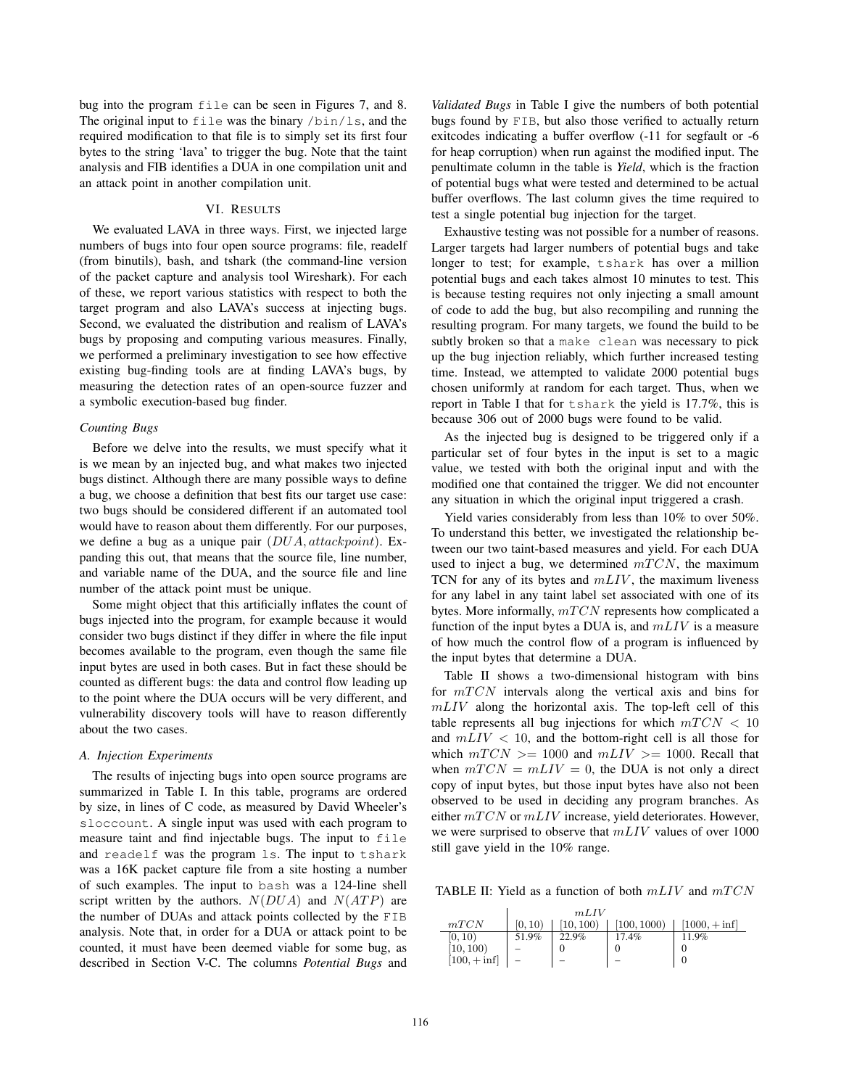bug into the program file can be seen in Figures 7, and 8. The original input to file was the binary /bin/ls, and the required modification to that file is to simply set its first four bytes to the string 'lava' to trigger the bug. Note that the taint analysis and FIB identifies a DUA in one compilation unit and an attack point in another compilation unit.

#### VI. RESULTS

We evaluated LAVA in three ways. First, we injected large numbers of bugs into four open source programs: file, readelf (from binutils), bash, and tshark (the command-line version of the packet capture and analysis tool Wireshark). For each of these, we report various statistics with respect to both the target program and also LAVA's success at injecting bugs. Second, we evaluated the distribution and realism of LAVA's bugs by proposing and computing various measures. Finally, we performed a preliminary investigation to see how effective existing bug-finding tools are at finding LAVA's bugs, by measuring the detection rates of an open-source fuzzer and a symbolic execution-based bug finder.

#### *Counting Bugs*

Before we delve into the results, we must specify what it is we mean by an injected bug, and what makes two injected bugs distinct. Although there are many possible ways to define a bug, we choose a definition that best fits our target use case: two bugs should be considered different if an automated tool would have to reason about them differently. For our purposes, we define a bug as a unique pair (DUA, attackpoint). Expanding this out, that means that the source file, line number, and variable name of the DUA, and the source file and line number of the attack point must be unique.

Some might object that this artificially inflates the count of bugs injected into the program, for example because it would consider two bugs distinct if they differ in where the file input becomes available to the program, even though the same file input bytes are used in both cases. But in fact these should be counted as different bugs: the data and control flow leading up to the point where the DUA occurs will be very different, and vulnerability discovery tools will have to reason differently about the two cases.

## *A. Injection Experiments*

The results of injecting bugs into open source programs are summarized in Table I. In this table, programs are ordered by size, in lines of C code, as measured by David Wheeler's sloccount. A single input was used with each program to measure taint and find injectable bugs. The input to file and readelf was the program ls. The input to tshark was a 16K packet capture file from a site hosting a number of such examples. The input to bash was a 124-line shell script written by the authors.  $N(DUA)$  and  $N(ATP)$  are the number of DUAs and attack points collected by the FIB analysis. Note that, in order for a DUA or attack point to be counted, it must have been deemed viable for some bug, as described in Section V-C. The columns *Potential Bugs* and *Validated Bugs* in Table I give the numbers of both potential bugs found by FIB, but also those verified to actually return exitcodes indicating a buffer overflow (-11 for segfault or -6 for heap corruption) when run against the modified input. The penultimate column in the table is *Yield*, which is the fraction of potential bugs what were tested and determined to be actual buffer overflows. The last column gives the time required to test a single potential bug injection for the target.

Exhaustive testing was not possible for a number of reasons. Larger targets had larger numbers of potential bugs and take longer to test; for example, tshark has over a million potential bugs and each takes almost 10 minutes to test. This is because testing requires not only injecting a small amount of code to add the bug, but also recompiling and running the resulting program. For many targets, we found the build to be subtly broken so that a make clean was necessary to pick up the bug injection reliably, which further increased testing time. Instead, we attempted to validate 2000 potential bugs chosen uniformly at random for each target. Thus, when we report in Table I that for tshark the yield is 17.7%, this is because 306 out of 2000 bugs were found to be valid.

As the injected bug is designed to be triggered only if a particular set of four bytes in the input is set to a magic value, we tested with both the original input and with the modified one that contained the trigger. We did not encounter any situation in which the original input triggered a crash.

Yield varies considerably from less than 10% to over 50%. To understand this better, we investigated the relationship between our two taint-based measures and yield. For each DUA used to inject a bug, we determined  $mTCN$ , the maximum TCN for any of its bytes and  $mLIV$ , the maximum liveness for any label in any taint label set associated with one of its bytes. More informally,  $mTCN$  represents how complicated a function of the input bytes a DUA is, and  $mLIV$  is a measure of how much the control flow of a program is influenced by the input bytes that determine a DUA.

Table II shows a two-dimensional histogram with bins for  $mTCN$  intervals along the vertical axis and bins for  $mLIV$  along the horizontal axis. The top-left cell of this table represents all bug injections for which  $mTCN < 10$ and  $mLIV < 10$ , and the bottom-right cell is all those for which  $mTCN \ge 1000$  and  $mLIV \ge 1000$ . Recall that when  $mTCN = mLIV = 0$ , the DUA is not only a direct copy of input bytes, but those input bytes have also not been observed to be used in deciding any program branches. As either  $mTCN$  or  $mLIV$  increase, yield deteriorates. However, we were surprised to observe that  $mLIV$  values of over 1000 still gave yield in the 10% range.

TABLE II: Yield as a function of both  $mLIV$  and  $mTCN$ 

|                 | mLIV    |           |             |                        |  |  |
|-----------------|---------|-----------|-------------|------------------------|--|--|
| mTCN            | [0, 10) | [10, 100] | [100, 1000] | $[1000, + \text{inf}]$ |  |  |
| [0, 10)         | 51.9%   | 22.9%     | 17.4%       | 11.9%                  |  |  |
| [10, 100)       |         |           | 0           |                        |  |  |
| $[100, + \inf]$ |         |           |             |                        |  |  |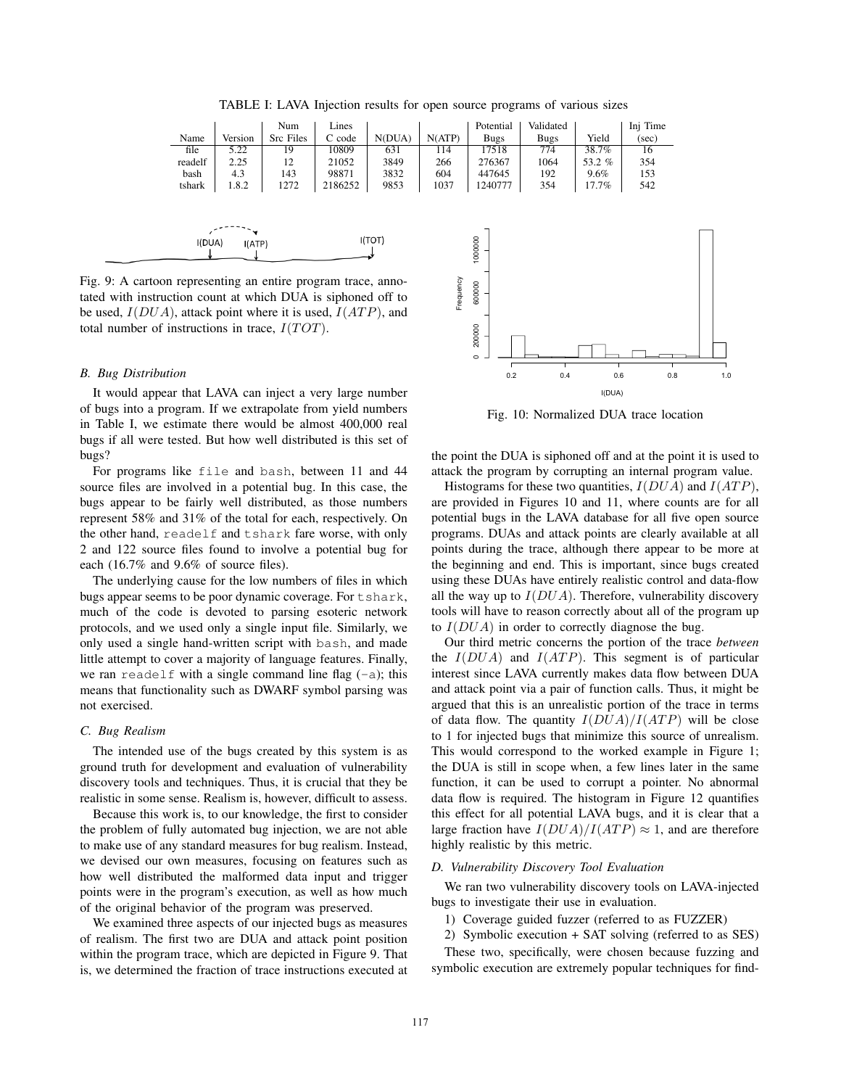TABLE I: LAVA Injection results for open source programs of various sizes

|         |         | Num       | Lines   |        |        | Potential   | Validated   |         | Inj Time |
|---------|---------|-----------|---------|--------|--------|-------------|-------------|---------|----------|
| Name    | Version | Src Files | C code  | N(DUA) | N(ATP) | <b>Bugs</b> | <b>Bugs</b> | Yield   | $(\sec)$ |
| file    | 5.22    | 19        | 10809   | 631    | 114    | 17518       | 774         | 38.7%   | 16       |
| readelf | 2.25    | 12        | 21052   | 3849   | 266    | 276367      | 1064        | 53.2%   | 354      |
| bash    | 4.3     | 143       | 98871   | 3832   | 604    | 447645      | 192         | $9.6\%$ | 153      |
| tshark  | 1.8.2   | 1272      | 2186252 | 9853   | 1037   | 1240777     | 354         | 17.7%   | 542      |

I(TOT)

Fig. 9: A cartoon representing an entire program trace, annotated with instruction count at which DUA is siphoned off to be used,  $I(DUA)$ , attack point where it is used,  $I(ATP)$ , and total number of instructions in trace,  $I(TOT)$ .

 $I(ATP)$ 

I(DUA)

#### *B. Bug Distribution*

It would appear that LAVA can inject a very large number of bugs into a program. If we extrapolate from yield numbers in Table I, we estimate there would be almost 400,000 real bugs if all were tested. But how well distributed is this set of bugs?

For programs like file and bash, between 11 and 44 source files are involved in a potential bug. In this case, the bugs appear to be fairly well distributed, as those numbers represent 58% and 31% of the total for each, respectively. On the other hand, readelf and tshark fare worse, with only 2 and 122 source files found to involve a potential bug for each (16.7% and 9.6% of source files).

The underlying cause for the low numbers of files in which bugs appear seems to be poor dynamic coverage. For tshark, much of the code is devoted to parsing esoteric network protocols, and we used only a single input file. Similarly, we only used a single hand-written script with bash, and made little attempt to cover a majority of language features. Finally, we ran readelf with a single command line flag  $(-a)$ ; this means that functionality such as DWARF symbol parsing was not exercised.

#### *C. Bug Realism*

The intended use of the bugs created by this system is as ground truth for development and evaluation of vulnerability discovery tools and techniques. Thus, it is crucial that they be realistic in some sense. Realism is, however, difficult to assess.

Because this work is, to our knowledge, the first to consider the problem of fully automated bug injection, we are not able to make use of any standard measures for bug realism. Instead, we devised our own measures, focusing on features such as how well distributed the malformed data input and trigger points were in the program's execution, as well as how much of the original behavior of the program was preserved.

We examined three aspects of our injected bugs as measures of realism. The first two are DUA and attack point position within the program trace, which are depicted in Figure 9. That is, we determined the fraction of trace instructions executed at



Fig. 10: Normalized DUA trace location

the point the DUA is siphoned off and at the point it is used to attack the program by corrupting an internal program value.

Histograms for these two quantities,  $I(DUA)$  and  $I(ATP)$ , are provided in Figures 10 and 11, where counts are for all potential bugs in the LAVA database for all five open source programs. DUAs and attack points are clearly available at all points during the trace, although there appear to be more at the beginning and end. This is important, since bugs created using these DUAs have entirely realistic control and data-flow all the way up to  $I(DUA)$ . Therefore, vulnerability discovery tools will have to reason correctly about all of the program up to  $I(DUA)$  in order to correctly diagnose the bug.

Our third metric concerns the portion of the trace *between* the  $I(DUA)$  and  $I(ATP)$ . This segment is of particular interest since LAVA currently makes data flow between DUA and attack point via a pair of function calls. Thus, it might be argued that this is an unrealistic portion of the trace in terms of data flow. The quantity  $I(DUA)/I(ATP)$  will be close to 1 for injected bugs that minimize this source of unrealism. This would correspond to the worked example in Figure 1; the DUA is still in scope when, a few lines later in the same function, it can be used to corrupt a pointer. No abnormal data flow is required. The histogram in Figure 12 quantifies this effect for all potential LAVA bugs, and it is clear that a large fraction have  $I(DUA)/I(ATP) \approx 1$ , and are therefore highly realistic by this metric.

## *D. Vulnerability Discovery Tool Evaluation*

We ran two vulnerability discovery tools on LAVA-injected bugs to investigate their use in evaluation.

1) Coverage guided fuzzer (referred to as FUZZER)

2) Symbolic execution + SAT solving (referred to as SES)

These two, specifically, were chosen because fuzzing and symbolic execution are extremely popular techniques for find-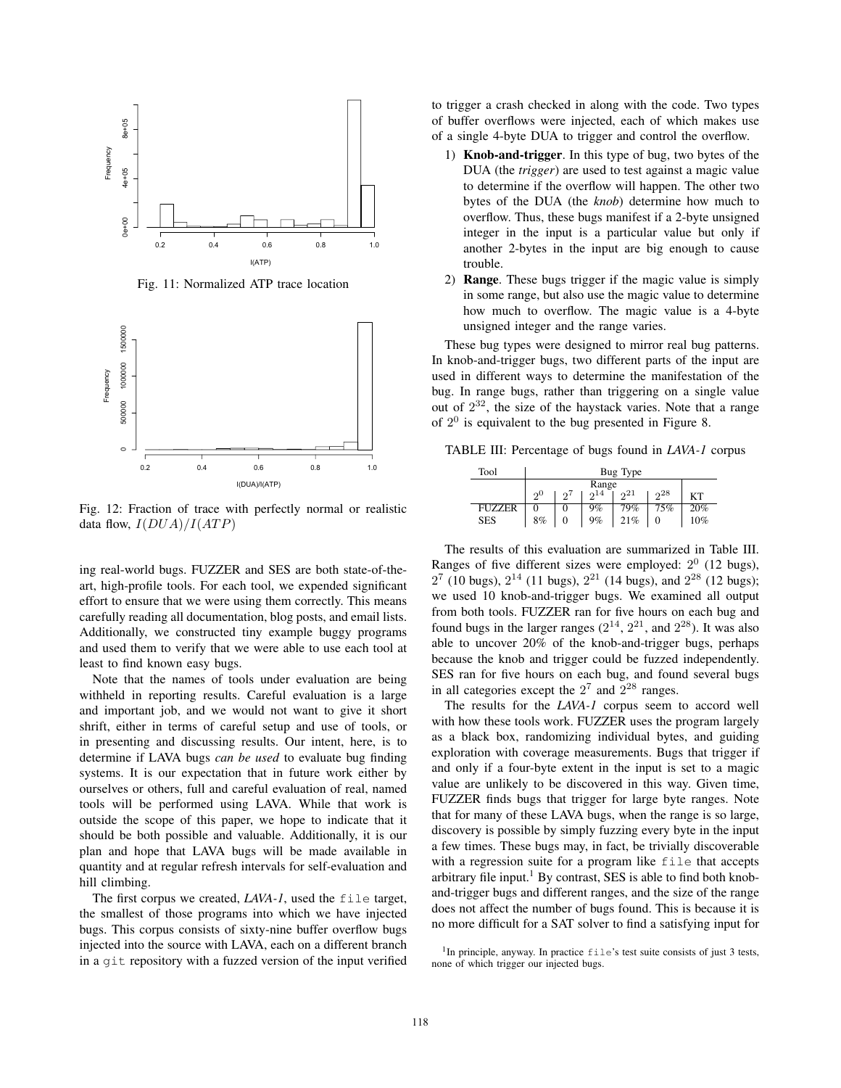

Fig. 11: Normalized ATP trace location



Fig. 12: Fraction of trace with perfectly normal or realistic data flow,  $I(DUA)/I(ATP)$ 

ing real-world bugs. FUZZER and SES are both state-of-theart, high-profile tools. For each tool, we expended significant effort to ensure that we were using them correctly. This means carefully reading all documentation, blog posts, and email lists. Additionally, we constructed tiny example buggy programs and used them to verify that we were able to use each tool at least to find known easy bugs.

Note that the names of tools under evaluation are being withheld in reporting results. Careful evaluation is a large and important job, and we would not want to give it short shrift, either in terms of careful setup and use of tools, or in presenting and discussing results. Our intent, here, is to determine if LAVA bugs *can be used* to evaluate bug finding systems. It is our expectation that in future work either by ourselves or others, full and careful evaluation of real, named tools will be performed using LAVA. While that work is outside the scope of this paper, we hope to indicate that it should be both possible and valuable. Additionally, it is our plan and hope that LAVA bugs will be made available in quantity and at regular refresh intervals for self-evaluation and hill climbing.

The first corpus we created, *LAVA-1*, used the file target, the smallest of those programs into which we have injected bugs. This corpus consists of sixty-nine buffer overflow bugs injected into the source with LAVA, each on a different branch in a git repository with a fuzzed version of the input verified to trigger a crash checked in along with the code. Two types of buffer overflows were injected, each of which makes use of a single 4-byte DUA to trigger and control the overflow.

- 1) Knob-and-trigger. In this type of bug, two bytes of the DUA (the *trigger*) are used to test against a magic value to determine if the overflow will happen. The other two bytes of the DUA (the *knob*) determine how much to overflow. Thus, these bugs manifest if a 2-byte unsigned integer in the input is a particular value but only if another 2-bytes in the input are big enough to cause trouble.
- 2) Range. These bugs trigger if the magic value is simply in some range, but also use the magic value to determine how much to overflow. The magic value is a 4-byte unsigned integer and the range varies.

These bug types were designed to mirror real bug patterns. In knob-and-trigger bugs, two different parts of the input are used in different ways to determine the manifestation of the bug. In range bugs, rather than triggering on a single value out of  $2^{32}$ , the size of the haystack varies. Note that a range of  $2^0$  is equivalent to the bug presented in Figure 8.

TABLE III: Percentage of bugs found in *LAVA-1* corpus

| Tool          | Bug Type       |              |     |                |     |     |
|---------------|----------------|--------------|-----|----------------|-----|-----|
|               | Range          |              |     |                |     |     |
|               | 2 <sub>0</sub> | $2^i$        | 214 | 2 <sub>1</sub> | 28  | KT  |
| <b>FUZZER</b> |                | 0            | 9%  | 79%            | 75% | 20% |
| <b>SES</b>    | 8%             | $\mathbf{0}$ | 9%  | 21%            |     | 10% |

The results of this evaluation are summarized in Table III. Ranges of five different sizes were employed:  $2^0$  (12 bugs),  $2^7$  (10 bugs),  $2^{14}$  (11 bugs),  $2^{21}$  (14 bugs), and  $2^{28}$  (12 bugs); we used 10 knob-and-trigger bugs. We examined all output from both tools. FUZZER ran for five hours on each bug and found bugs in the larger ranges  $(2^{14}, 2^{21}, 2^{28})$ . It was also able to uncover 20% of the knob-and-trigger bugs, perhaps because the knob and trigger could be fuzzed independently. SES ran for five hours on each bug, and found several bugs in all categories except the  $2^7$  and  $2^{28}$  ranges.

The results for the *LAVA-1* corpus seem to accord well with how these tools work. FUZZER uses the program largely as a black box, randomizing individual bytes, and guiding exploration with coverage measurements. Bugs that trigger if and only if a four-byte extent in the input is set to a magic value are unlikely to be discovered in this way. Given time, FUZZER finds bugs that trigger for large byte ranges. Note that for many of these LAVA bugs, when the range is so large, discovery is possible by simply fuzzing every byte in the input a few times. These bugs may, in fact, be trivially discoverable with a regression suite for a program like file that accepts arbitrary file input.<sup>1</sup> By contrast, SES is able to find both knoband-trigger bugs and different ranges, and the size of the range does not affect the number of bugs found. This is because it is no more difficult for a SAT solver to find a satisfying input for

<sup>&</sup>lt;sup>1</sup>In principle, anyway. In practice  $f \perp e$ 's test suite consists of just 3 tests, none of which trigger our injected bugs.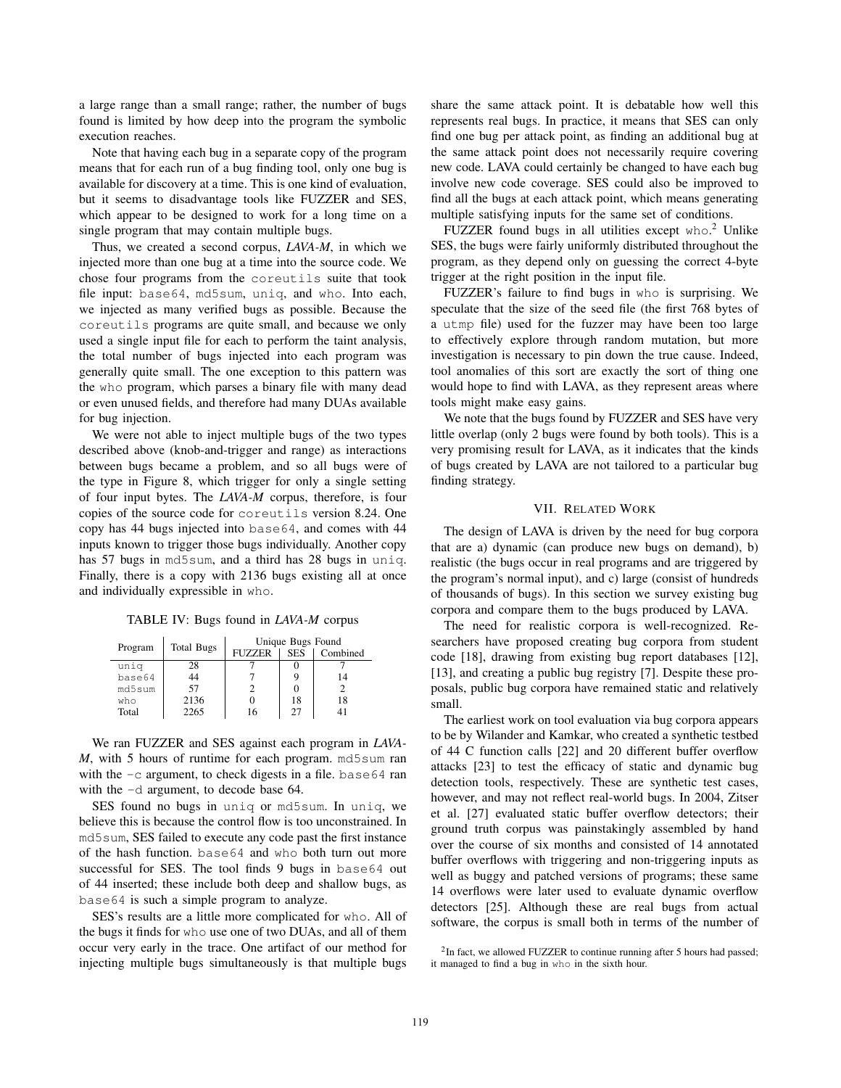a large range than a small range; rather, the number of bugs found is limited by how deep into the program the symbolic execution reaches.

Note that having each bug in a separate copy of the program means that for each run of a bug finding tool, only one bug is available for discovery at a time. This is one kind of evaluation, but it seems to disadvantage tools like FUZZER and SES, which appear to be designed to work for a long time on a single program that may contain multiple bugs.

Thus, we created a second corpus, *LAVA-M*, in which we injected more than one bug at a time into the source code. We chose four programs from the coreutils suite that took file input: base64, md5sum, uniq, and who. Into each, we injected as many verified bugs as possible. Because the coreutils programs are quite small, and because we only used a single input file for each to perform the taint analysis, the total number of bugs injected into each program was generally quite small. The one exception to this pattern was the who program, which parses a binary file with many dead or even unused fields, and therefore had many DUAs available for bug injection.

We were not able to inject multiple bugs of the two types described above (knob-and-trigger and range) as interactions between bugs became a problem, and so all bugs were of the type in Figure 8, which trigger for only a single setting of four input bytes. The *LAVA-M* corpus, therefore, is four copies of the source code for coreutils version 8.24. One copy has 44 bugs injected into base64, and comes with 44 inputs known to trigger those bugs individually. Another copy has 57 bugs in md5sum, and a third has 28 bugs in uniq. Finally, there is a copy with 2136 bugs existing all at once and individually expressible in who.

## TABLE IV: Bugs found in *LAVA-M* corpus

| Program | <b>Total Bugs</b> | Unique Bugs Found |            |          |  |  |
|---------|-------------------|-------------------|------------|----------|--|--|
|         |                   | <b>FUZZER</b>     | <b>SES</b> | Combined |  |  |
| uniq    | 28                |                   |            |          |  |  |
| base64  | 44                |                   |            | 14       |  |  |
| md5sum  | 57                |                   |            |          |  |  |
| who     | 2136              |                   | 18         | 18       |  |  |
| Total   | 2265              | 16                | 27         | 41       |  |  |

We ran FUZZER and SES against each program in *LAVA-M*, with 5 hours of runtime for each program. md5sum ran with the  $-c$  argument, to check digests in a file. base64 ran with the -d argument, to decode base 64.

SES found no bugs in uniq or md5sum. In uniq, we believe this is because the control flow is too unconstrained. In md5sum, SES failed to execute any code past the first instance of the hash function. base64 and who both turn out more successful for SES. The tool finds 9 bugs in base64 out of 44 inserted; these include both deep and shallow bugs, as base64 is such a simple program to analyze.

SES's results are a little more complicated for who. All of the bugs it finds for who use one of two DUAs, and all of them occur very early in the trace. One artifact of our method for injecting multiple bugs simultaneously is that multiple bugs share the same attack point. It is debatable how well this represents real bugs. In practice, it means that SES can only find one bug per attack point, as finding an additional bug at the same attack point does not necessarily require covering new code. LAVA could certainly be changed to have each bug involve new code coverage. SES could also be improved to find all the bugs at each attack point, which means generating multiple satisfying inputs for the same set of conditions.

FUZZER found bugs in all utilities except who. <sup>2</sup> Unlike SES, the bugs were fairly uniformly distributed throughout the program, as they depend only on guessing the correct 4-byte trigger at the right position in the input file.

FUZZER's failure to find bugs in who is surprising. We speculate that the size of the seed file (the first 768 bytes of a utmp file) used for the fuzzer may have been too large to effectively explore through random mutation, but more investigation is necessary to pin down the true cause. Indeed, tool anomalies of this sort are exactly the sort of thing one would hope to find with LAVA, as they represent areas where tools might make easy gains.

We note that the bugs found by FUZZER and SES have very little overlap (only 2 bugs were found by both tools). This is a very promising result for LAVA, as it indicates that the kinds of bugs created by LAVA are not tailored to a particular bug finding strategy.

## VII. RELATED WORK

The design of LAVA is driven by the need for bug corpora that are a) dynamic (can produce new bugs on demand), b) realistic (the bugs occur in real programs and are triggered by the program's normal input), and c) large (consist of hundreds of thousands of bugs). In this section we survey existing bug corpora and compare them to the bugs produced by LAVA.

The need for realistic corpora is well-recognized. Researchers have proposed creating bug corpora from student code [18], drawing from existing bug report databases [12], [13], and creating a public bug registry [7]. Despite these proposals, public bug corpora have remained static and relatively small.

The earliest work on tool evaluation via bug corpora appears to be by Wilander and Kamkar, who created a synthetic testbed of 44 C function calls [22] and 20 different buffer overflow attacks [23] to test the efficacy of static and dynamic bug detection tools, respectively. These are synthetic test cases, however, and may not reflect real-world bugs. In 2004, Zitser et al. [27] evaluated static buffer overflow detectors; their ground truth corpus was painstakingly assembled by hand over the course of six months and consisted of 14 annotated buffer overflows with triggering and non-triggering inputs as well as buggy and patched versions of programs; these same 14 overflows were later used to evaluate dynamic overflow detectors [25]. Although these are real bugs from actual software, the corpus is small both in terms of the number of

<sup>&</sup>lt;sup>2</sup>In fact, we allowed FUZZER to continue running after 5 hours had passed; it managed to find a bug in who in the sixth hour.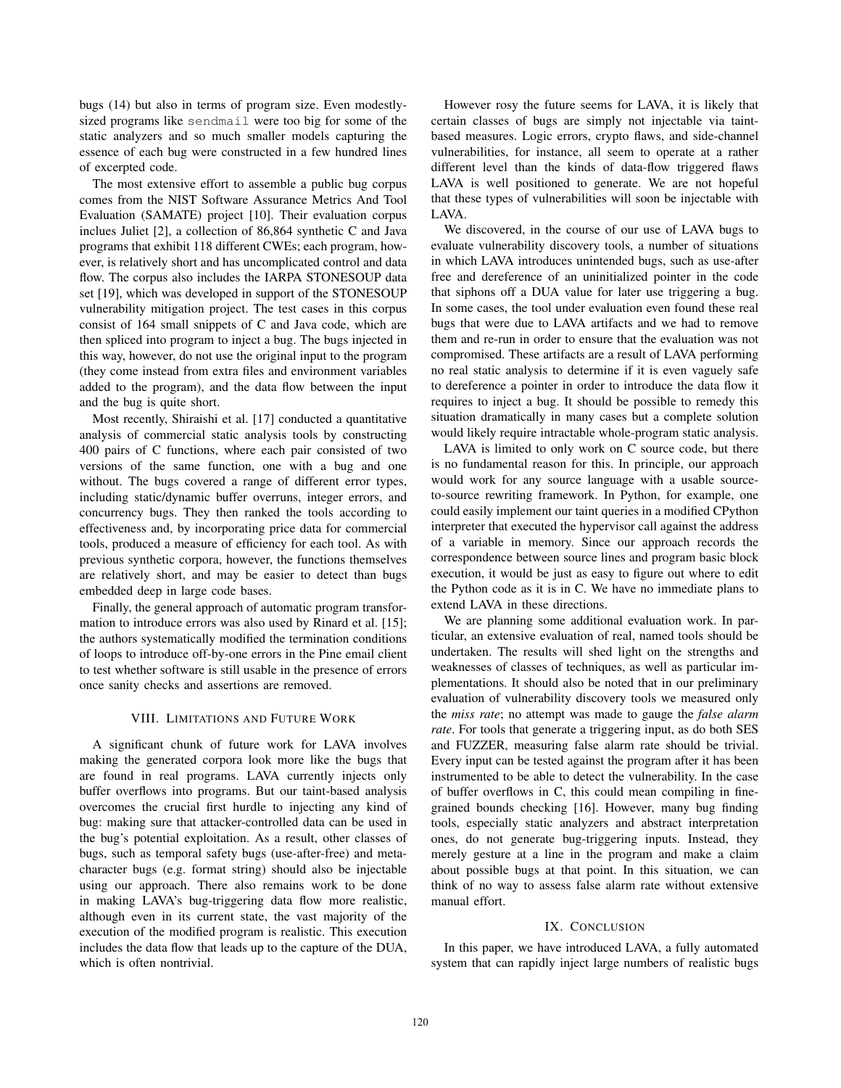bugs (14) but also in terms of program size. Even modestlysized programs like sendmail were too big for some of the static analyzers and so much smaller models capturing the essence of each bug were constructed in a few hundred lines of excerpted code.

The most extensive effort to assemble a public bug corpus comes from the NIST Software Assurance Metrics And Tool Evaluation (SAMATE) project [10]. Their evaluation corpus inclues Juliet [2], a collection of 86,864 synthetic C and Java programs that exhibit 118 different CWEs; each program, however, is relatively short and has uncomplicated control and data flow. The corpus also includes the IARPA STONESOUP data set [19], which was developed in support of the STONESOUP vulnerability mitigation project. The test cases in this corpus consist of 164 small snippets of C and Java code, which are then spliced into program to inject a bug. The bugs injected in this way, however, do not use the original input to the program (they come instead from extra files and environment variables added to the program), and the data flow between the input and the bug is quite short.

Most recently, Shiraishi et al. [17] conducted a quantitative analysis of commercial static analysis tools by constructing 400 pairs of C functions, where each pair consisted of two versions of the same function, one with a bug and one without. The bugs covered a range of different error types, including static/dynamic buffer overruns, integer errors, and concurrency bugs. They then ranked the tools according to effectiveness and, by incorporating price data for commercial tools, produced a measure of efficiency for each tool. As with previous synthetic corpora, however, the functions themselves are relatively short, and may be easier to detect than bugs embedded deep in large code bases.

Finally, the general approach of automatic program transformation to introduce errors was also used by Rinard et al. [15]; the authors systematically modified the termination conditions of loops to introduce off-by-one errors in the Pine email client to test whether software is still usable in the presence of errors once sanity checks and assertions are removed.

# VIII. LIMITATIONS AND FUTURE WORK

A significant chunk of future work for LAVA involves making the generated corpora look more like the bugs that are found in real programs. LAVA currently injects only buffer overflows into programs. But our taint-based analysis overcomes the crucial first hurdle to injecting any kind of bug: making sure that attacker-controlled data can be used in the bug's potential exploitation. As a result, other classes of bugs, such as temporal safety bugs (use-after-free) and metacharacter bugs (e.g. format string) should also be injectable using our approach. There also remains work to be done in making LAVA's bug-triggering data flow more realistic, although even in its current state, the vast majority of the execution of the modified program is realistic. This execution includes the data flow that leads up to the capture of the DUA, which is often nontrivial.

However rosy the future seems for LAVA, it is likely that certain classes of bugs are simply not injectable via taintbased measures. Logic errors, crypto flaws, and side-channel vulnerabilities, for instance, all seem to operate at a rather different level than the kinds of data-flow triggered flaws LAVA is well positioned to generate. We are not hopeful that these types of vulnerabilities will soon be injectable with LAVA.

We discovered, in the course of our use of LAVA bugs to evaluate vulnerability discovery tools, a number of situations in which LAVA introduces unintended bugs, such as use-after free and dereference of an uninitialized pointer in the code that siphons off a DUA value for later use triggering a bug. In some cases, the tool under evaluation even found these real bugs that were due to LAVA artifacts and we had to remove them and re-run in order to ensure that the evaluation was not compromised. These artifacts are a result of LAVA performing no real static analysis to determine if it is even vaguely safe to dereference a pointer in order to introduce the data flow it requires to inject a bug. It should be possible to remedy this situation dramatically in many cases but a complete solution would likely require intractable whole-program static analysis.

LAVA is limited to only work on C source code, but there is no fundamental reason for this. In principle, our approach would work for any source language with a usable sourceto-source rewriting framework. In Python, for example, one could easily implement our taint queries in a modified CPython interpreter that executed the hypervisor call against the address of a variable in memory. Since our approach records the correspondence between source lines and program basic block execution, it would be just as easy to figure out where to edit the Python code as it is in C. We have no immediate plans to extend LAVA in these directions.

We are planning some additional evaluation work. In particular, an extensive evaluation of real, named tools should be undertaken. The results will shed light on the strengths and weaknesses of classes of techniques, as well as particular implementations. It should also be noted that in our preliminary evaluation of vulnerability discovery tools we measured only the *miss rate*; no attempt was made to gauge the *false alarm rate*. For tools that generate a triggering input, as do both SES and FUZZER, measuring false alarm rate should be trivial. Every input can be tested against the program after it has been instrumented to be able to detect the vulnerability. In the case of buffer overflows in C, this could mean compiling in finegrained bounds checking [16]. However, many bug finding tools, especially static analyzers and abstract interpretation ones, do not generate bug-triggering inputs. Instead, they merely gesture at a line in the program and make a claim about possible bugs at that point. In this situation, we can think of no way to assess false alarm rate without extensive manual effort.

## IX. CONCLUSION

In this paper, we have introduced LAVA, a fully automated system that can rapidly inject large numbers of realistic bugs